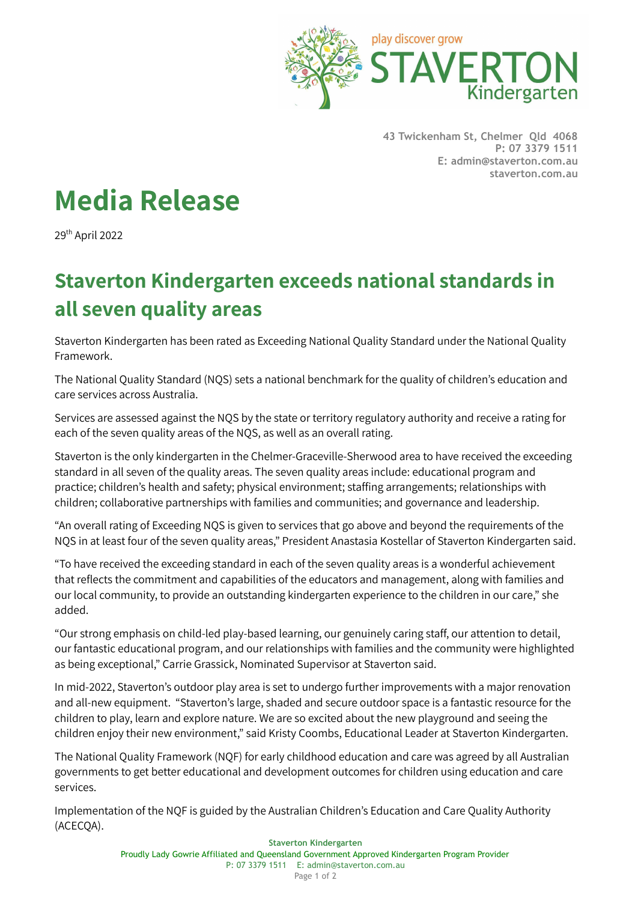

**43 Twickenham St, Chelmer Qld 4068 P: 07 3379 1511 E: admin@staverton.com.au staverton.com.au**

## **Media Release**

29<sup>th</sup> April 2022

## **Staverton Kindergarten exceeds national standards in all seven quality areas**

Staverton Kindergarten has been rated as Exceeding National Quality Standard under the National Quality Framework.

The National Quality Standard (NQS) sets a national benchmark for the quality of children's education and care services across Australia.

Services are assessed against the NQS by the state or territory regulatory authority and receive a rating for each of the seven quality areas of the NQS, as well as an overall rating.

Staverton is the only kindergarten in the Chelmer-Graceville-Sherwood area to have received the exceeding standard in all seven of the quality areas. The seven quality areas include: educational program and practice; children's health and safety; physical environment; staffing arrangements; relationships with children; collaborative partnerships with families and communities; and governance and leadership.

"An overall rating of Exceeding NQS is given to services that go above and beyond the requirements of the NQS in at least four of the seven quality areas," President Anastasia Kostellar of Staverton Kindergarten said.

"To have received the exceeding standard in each of the seven quality areas is a wonderful achievement that reflects the commitment and capabilities of the educators and management, along with families and our local community, to provide an outstanding kindergarten experience to the children in our care," she added.

"Our strong emphasis on child-led play-based learning, our genuinely caring staff, our attention to detail, our fantastic educational program, and our relationships with families and the community were highlighted as being exceptional," Carrie Grassick, Nominated Supervisor at Staverton said.

In mid-2022, Staverton's outdoor play area is set to undergo further improvements with a major renovation and all-new equipment. "Staverton's large, shaded and secure outdoor space is a fantastic resource for the children to play, learn and explore nature. We are so excited about the new playground and seeing the children enjoy their new environment," said Kristy Coombs, Educational Leader at Staverton Kindergarten.

The National Quality Framework (NQF) for early childhood education and care was agreed by all Australian governments to get better educational and development outcomes for children using education and care services.

Implementation of the NQF is guided by the Australian Children's Education and Care Quality Authority (ACECQA).